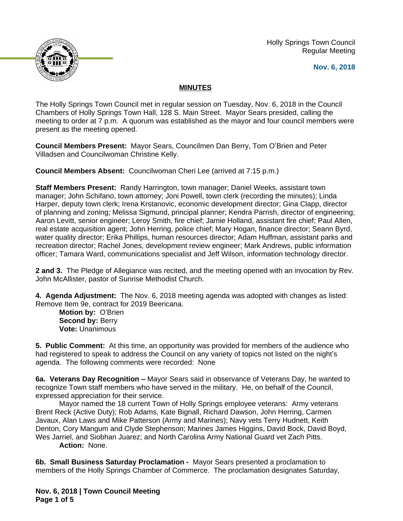Holly Springs Town Council Regular Meeting





## **MINUTES**

The Holly Springs Town Council met in regular session on Tuesday, Nov. 6, 2018 in the Council Chambers of Holly Springs Town Hall, 128 S. Main Street. Mayor Sears presided, calling the meeting to order at 7 p.m. A quorum was established as the mayor and four council members were present as the meeting opened.

**Council Members Present:** Mayor Sears, Councilmen Dan Berry, Tom O'Brien and Peter Villadsen and Councilwoman Christine Kelly.

**Council Members Absent:** Councilwoman Cheri Lee (arrived at 7:15 p.m.)

**Staff Members Present:** Randy Harrington, town manager; Daniel Weeks, assistant town manager; John Schifano, town attorney; Joni Powell, town clerk (recording the minutes); Linda Harper, deputy town clerk; Irena Krstanovic, economic development director; Gina Clapp, director of planning and zoning; Melissa Sigmund, principal planner; Kendra Parrish, director of engineering; Aaron Levitt, senior engineer; Leroy Smith, fire chief; Jamie Holland, assistant fire chief; Paul Allen, real estate acquisition agent; John Herring, police chief; Mary Hogan, finance director; Seann Byrd, water quality director; Erika Phillips, human resources director; Adam Huffman, assistant parks and recreation director; Rachel Jones, development review engineer; Mark Andrews, public information officer; Tamara Ward, communications specialist and Jeff Wilson, information technology director.

**2 and 3.** The Pledge of Allegiance was recited, and the meeting opened with an invocation by Rev. John McAllister, pastor of Sunrise Methodist Church.

**4. Agenda Adjustment:** The Nov. 6, 2018 meeting agenda was adopted with changes as listed: Remove Item 9e, contract for 2019 Beericana.

**Motion by:** O'Brien **Second by: Berry Vote:** Unanimous

**5. Public Comment:** At this time, an opportunity was provided for members of the audience who had registered to speak to address the Council on any variety of topics not listed on the night's agenda. The following comments were recorded: None

**6a. Veterans Day Recognition –** Mayor Sears said in observance of Veterans Day, he wanted to recognize Town staff members who have served in the military. He, on behalf of the Council, expressed appreciation for their service.

Mayor named the 18 current Town of Holly Springs employee veterans: Army veterans Brent Reck (Active Duty); Rob Adams, Kate Bignall, Richard Dawson, John Herring, Carmen Javaux, Alan Laws and Mike Patterson (Army and Marines); Navy vets Terry Hudnett, Keith Denton, Cory Mangum and Clyde Stephenson; Marines James Higgins, David Bock, David Boyd, Wes Jarriel, and Siobhan Juarez; and North Carolina Army National Guard vet Zach Pitts.

**Action:** None.

**6b. Small Business Saturday Proclamation -** Mayor Sears presented a proclamation to members of the Holly Springs Chamber of Commerce. The proclamation designates Saturday,

**Nov. 6, 2018 | Town Council Meeting Page 1 of 5**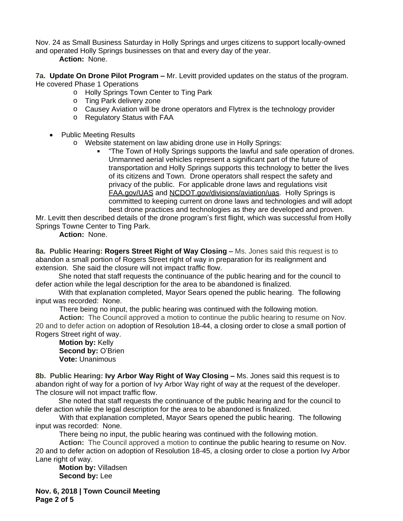Nov. 24 as Small Business Saturday in Holly Springs and urges citizens to support locally-owned and operated Holly Springs businesses on that and every day of the year.

**Action:** None.

**7a. Update On Drone Pilot Program –** Mr. Levitt provided updates on the status of the program. He covered Phase 1 Operations

- o Holly Springs Town Center to Ting Park
- o Ting Park delivery zone
- o Causey Aviation will be drone operators and Flytrex is the technology provider
- o Regulatory Status with FAA
- Public Meeting Results
	- o Website statement on law abiding drone use in Holly Springs:
		- "The Town of Holly Springs supports the lawful and safe operation of drones. Unmanned aerial vehicles represent a significant part of the future of transportation and Holly Springs supports this technology to better the lives of its citizens and Town. Drone operators shall respect the safety and privacy of the public. For applicable drone laws and regulations visit FAA.gov/UAS and NCDOT.gov/divisions/aviation/uas. Holly Springs is committed to keeping current on drone laws and technologies and will adopt best drone practices and technologies as they are developed and proven.

Mr. Levitt then described details of the drone program's first flight, which was successful from Holly Springs Towne Center to Ting Park.

## **Action:** None.

**8a. Public Hearing: Rogers Street Right of Way Closing – Ms. Jones said this request is to** abandon a small portion of Rogers Street right of way in preparation for its realignment and extension. She said the closure will not impact traffic flow.

She noted that staff requests the continuance of the public hearing and for the council to defer action while the legal description for the area to be abandoned is finalized.

With that explanation completed, Mayor Sears opened the public hearing. The following input was recorded: None.

There being no input, the public hearing was continued with the following motion.

**Action:** The Council approved a motion to continue the public hearing to resume on Nov. 20 and to defer action on adoption of Resolution 18-44, a closing order to close a small portion of Rogers Street right of way.

**Motion by:** Kelly **Second by: O'Brien Vote:** Unanimous

**8b. Public Hearing: Ivy Arbor Way Right of Way Closing - Ms. Jones said this request is to** abandon right of way for a portion of Ivy Arbor Way right of way at the request of the developer. The closure will not impact traffic flow.

She noted that staff requests the continuance of the public hearing and for the council to defer action while the legal description for the area to be abandoned is finalized.

With that explanation completed, Mayor Sears opened the public hearing. The following input was recorded: None.

There being no input, the public hearing was continued with the following motion.

**Action:** The Council approved a motion to continue the public hearing to resume on Nov. 20 and to defer action on adoption of Resolution 18-45, a closing order to close a portion Ivy Arbor Lane right of way.

**Motion by:** Villadsen **Second by:** Lee

**Nov. 6, 2018 | Town Council Meeting Page 2 of 5**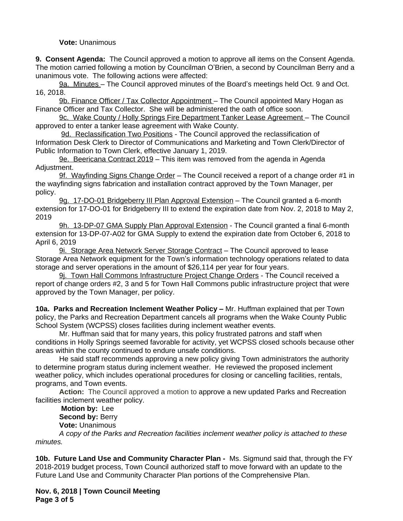## **Vote:** Unanimous

**9. Consent Agenda:** The Council approved a motion to approve all items on the Consent Agenda. The motion carried following a motion by Councilman O'Brien, a second by Councilman Berry and a unanimous vote. The following actions were affected:

9a. Minutes – The Council approved minutes of the Board's meetings held Oct. 9 and Oct. 16, 2018.

9b. Finance Officer / Tax Collector Appointment - The Council appointed Mary Hogan as Finance Officer and Tax Collector. She will be administered the oath of office soon.

9c. Wake County / Holly Springs Fire Department Tanker Lease Agreement – The Council approved to enter a tanker lease agreement with Wake County.

9d. Reclassification Two Positions - The Council approved the reclassification of Information Desk Clerk to Director of Communications and Marketing and Town Clerk/Director of Public Information to Town Clerk, effective January 1, 2019.

9e. Beericana Contract 2019 - This item was removed from the agenda in Agenda Adjustment.

9f. Wayfinding Signs Change Order – The Council received a report of a change order #1 in the wayfinding signs fabrication and installation contract approved by the Town Manager, per policy.

9g. 17-DO-01 Bridgeberry III Plan Approval Extension – The Council granted a 6-month extension for 17-DO-01 for Bridgeberry III to extend the expiration date from Nov. 2, 2018 to May 2, 2019

9h. 13-DP-07 GMA Supply Plan Approval Extension - The Council granted a final 6-month extension for 13-DP-07-A02 for GMA Supply to extend the expiration date from October 6, 2018 to April 6, 2019

9i. Storage Area Network Server Storage Contract - The Council approved to lease Storage Area Network equipment for the Town's information technology operations related to data storage and server operations in the amount of \$26,114 per year for four years.

9j. Town Hall Commons Infrastructure Project Change Orders - The Council received a report of change orders #2, 3 and 5 for Town Hall Commons public infrastructure project that were approved by the Town Manager, per policy.

**10a. Parks and Recreation Inclement Weather Policy –** Mr. Huffman explained that per Town policy, the Parks and Recreation Department cancels all programs when the Wake County Public School System (WCPSS) closes facilities during inclement weather events.

Mr. Huffman said that for many years, this policy frustrated patrons and staff when conditions in Holly Springs seemed favorable for activity, yet WCPSS closed schools because other areas within the county continued to endure unsafe conditions.

He said staff recommends approving a new policy giving Town administrators the authority to determine program status during inclement weather. He reviewed the proposed inclement weather policy, which includes operational procedures for closing or cancelling facilities, rentals, programs, and Town events.

**Action:** The Council approved a motion to approve a new updated Parks and Recreation facilities inclement weather policy.

**Motion by:** Lee

**Second by: Berry** 

**Vote:** Unanimous

*A copy of the Parks and Recreation facilities inclement weather policy is attached to these minutes.* 

**10b. Future Land Use and Community Character Plan -** Ms. Sigmund said that, through the FY 2018-2019 budget process, Town Council authorized staff to move forward with an update to the Future Land Use and Community Character Plan portions of the Comprehensive Plan.

**Nov. 6, 2018 | Town Council Meeting Page 3 of 5**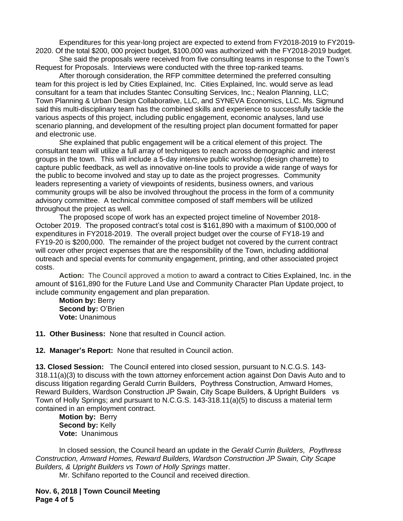Expenditures for this year-long project are expected to extend from FY2018-2019 to FY2019- 2020. Of the total \$200, 000 project budget, \$100,000 was authorized with the FY2018-2019 budget.

She said the proposals were received from five consulting teams in response to the Town's Request for Proposals. Interviews were conducted with the three top-ranked teams.

After thorough consideration, the RFP committee determined the preferred consulting team for this project is led by Cities Explained, Inc. Cities Explained, Inc. would serve as lead consultant for a team that includes Stantec Consulting Services, Inc.; Nealon Planning, LLC; Town Planning & Urban Design Collaborative, LLC, and SYNEVA Economics, LLC. Ms. Sigmund said this multi-disciplinary team has the combined skills and experience to successfully tackle the various aspects of this project, including public engagement, economic analyses, land use scenario planning, and development of the resulting project plan document formatted for paper and electronic use.

She explained that public engagement will be a critical element of this project. The consultant team will utilize a full array of techniques to reach across demographic and interest groups in the town. This will include a 5-day intensive public workshop (design charrette) to capture public feedback, as well as innovative on-line tools to provide a wide range of ways for the public to become involved and stay up to date as the project progresses. Community leaders representing a variety of viewpoints of residents, business owners, and various community groups will be also be involved throughout the process in the form of a community advisory committee. A technical committee composed of staff members will be utilized throughout the project as well.

The proposed scope of work has an expected project timeline of November 2018- October 2019. The proposed contract's total cost is \$161,890 with a maximum of \$100,000 of expenditures in FY2018-2019. The overall project budget over the course of FY18-19 and FY19-20 is \$200,000. The remainder of the project budget not covered by the current contract will cover other project expenses that are the responsibility of the Town, including additional outreach and special events for community engagement, printing, and other associated project costs.

**Action:** The Council approved a motion to award a contract to Cities Explained, Inc. in the amount of \$161,890 for the Future Land Use and Community Character Plan Update project, to include community engagement and plan preparation.

**Motion by:** Berry **Second by:** O'Brien **Vote:** Unanimous

**11. Other Business:** None that resulted in Council action.

**12. Manager's Report:** None that resulted in Council action.

**13. Closed Session:** The Council entered into closed session, pursuant to N.C.G.S. 143- 318.11(a)(3) to discuss with the town attorney enforcement action against Don Davis Auto and to discuss litigation regarding Gerald Currin Builders, Poythress Construction, Amward Homes, Reward Builders, Wardson Construction JP Swain, City Scape Builders, & Upright Builders vs Town of Holly Springs; and pursuant to N.C.G.S. 143-318.11(a)(5) to discuss a material term contained in an employment contract.

**Motion by:** Berry **Second by: Kelly Vote:** Unanimous

In closed session, the Council heard an update in the *Gerald Currin Builders, Poythress Construction, Amward Homes, Reward Builders, Wardson Construction JP Swain, City Scape Builders, & Upright Builders vs Town of Holly Springs* matter.

Mr. Schifano reported to the Council and received direction.

**Nov. 6, 2018 | Town Council Meeting Page 4 of 5**